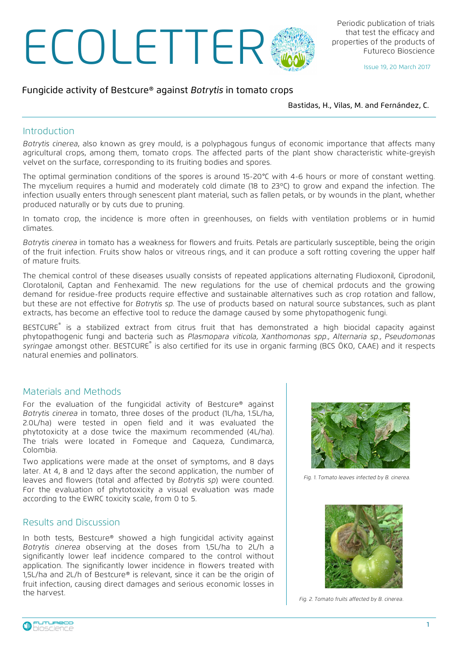# ECOLETTER

# Fungicide activity of Bestcure® against Botrytis in tomato crops

Bastidas, H., Vilas, M. and Fernández, C.

### Introduction

Botrytis cinerea, also known as grey mould, is a polyphagous fungus of economic importance that affects many agricultural crops, among them, tomato crops. The affected parts of the plant show characteristic white-greyish velvet on the surface, corresponding to its fruiting bodies and spores.

The optimal germination conditions of the spores is around 15-20°C with 4-6 hours or more of constant wetting. The mycelium requires a humid and moderately cold climate (18 to 23ºC) to grow and expand the infection. The infection usually enters through senescent plant material, such as fallen petals, or by wounds in the plant, whether produced naturally or by cuts due to pruning.

In tomato crop, the incidence is more often in greenhouses, on fields with ventilation problems or in humid climates.

Botrytis cinerea in tomato has a weakness for flowers and fruits. Petals are particularly susceptible, being the origin of the fruit infection. Fruits show halos or vitreous rings, and it can produce a soft rotting covering the upper half of mature fruits.

The chemical control of these diseases usually consists of repeated applications alternating Fludioxonil, Ciprodonil, Clorotalonil, Captan and Fenhexamid. The new regulations for the use of chemical prdocuts and the growing demand for residue-free products require effective and sustainable alternatives such as crop rotation and fallow, but these are not effective for Botrytis sp. The use of products based on natural source substances, such as plant extracts, has become an effective tool to reduce the damage caused by some phytopathogenic fungi.

BESTCURE® is a stabilized extract from citrus fruit that has demonstrated a high biocidal capacity against phytopathogenic fungi and bacteria such as Plasmopara viticola, Xanthomonas spp., Alternaria sp., Pseudomonas syringae amongst other. BESTCURE<sup>®</sup> is also certified for its use in organic farming (BCS ÖKO, CAAE) and it respects natural enemies and pollinators.

### Materials and Methods

For the evaluation of the fungicidal activity of Bestcure® against Botrytis cinerea in tomato, three doses of the product (1L/ha, 1.5L/ha, 2.0L/ha) were tested in open field and it was evaluated the phytotoxicity at a dose twice the maximum recommended (4L/ha). The trials were located in Fomeque and Caqueza, Cundimarca, Colombia.

Two applications were made at the onset of symptoms, and 8 days later. At 4, 8 and 12 days after the second application, the number of leaves and flowers (total and affected by Botrytis sp) were counted. For the evaluation of phytotoxicity a visual evaluation was made according to the EWRC toxicity scale, from 0 to 5.

## Results and Discussion

In both tests, Bestcure® showed a high fungicidal activity against Botrytis cinerea observing at the doses from 1,5L/ha to 2L/h a significantly lower leaf incidence compared to the control without application. The significantly lower incidence in flowers treated with 1,5L/ha and 2L/h of Bestcure® is relevant, since it can be the origin of fruit infection, causing direct damages and serious economic losses in the harvest.



Fig. 1. Tomato leaves infected by B. cinerea.



Fig. 2. Tomato fruits affected by B. cinerea.